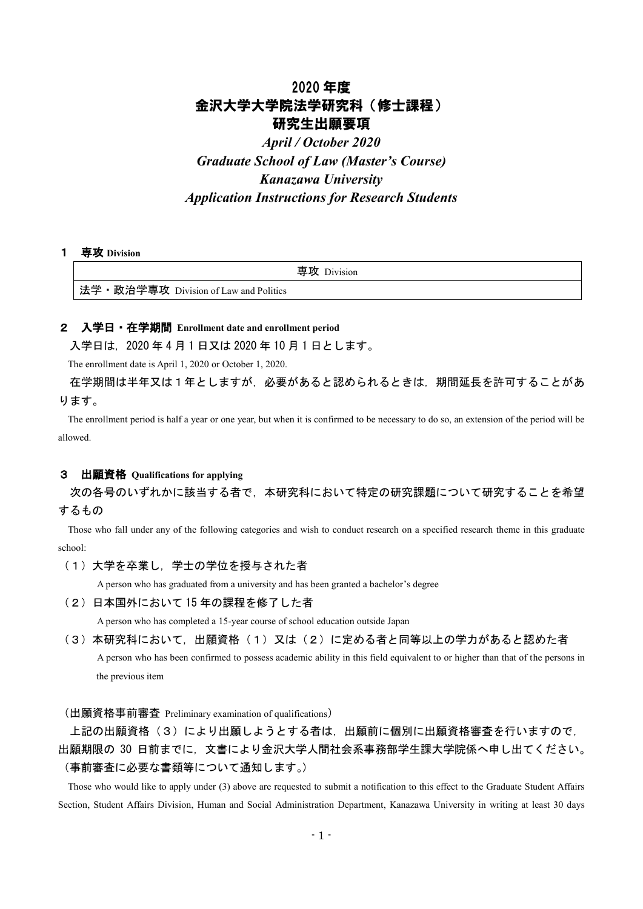# 2020 年度 金沢大学大学院法学研究科(修士課程) 研究生出願要項

# *April / October 2020 Graduate School of Law (Master's Course) Kanazawa University Application Instructions for Research Students*

### 1 専攻 **Division**

専攻 Division 法学・政治学専攻 Division of Law and Politics

### 2 入学日・在学期間 **Enrollment date and enrollment period**

入学日は,2020 年 4 月 1 日又は 2020 年 10 月 1 日とします。

The enrollment date is April 1, 2020 or October 1, 2020.

在学期間は半年又は1年としますが,必要があると認められるときは,期間延長を許可することがあ ります。

The enrollment period is half a year or one year, but when it is confirmed to be necessary to do so, an extension of the period will be allowed.

#### 3 出願資格 **Qualifications for applying**

次の各号のいずれかに該当する者で,本研究科において特定の研究課題について研究することを希望 するもの

Those who fall under any of the following categories and wish to conduct research on a specified research theme in this graduate school:

(1)大学を卒業し,学士の学位を授与された者

A person who has graduated from a university and has been granted a bachelor's degree

(2)日本国外において 15 年の課程を修了した者

A person who has completed a 15-year course of school education outside Japan

(3)本研究科において,出願資格(1)又は(2)に定める者と同等以上の学力があると認めた者 A person who has been confirmed to possess academic ability in this field equivalent to or higher than that of the persons in the previous item

#### (出願資格事前審査 Preliminary examination of qualifications)

上記の出願資格(3)により出願しようとする者は、出願前に個別に出願資格審査を行いますので, 出願期限の 30 日前までに,文書により金沢大学人間社会系事務部学生課大学院係へ申し出てください。 (事前審査に必要な書類等について通知します。)

Those who would like to apply under (3) above are requested to submit a notification to this effect to the Graduate Student Affairs Section, Student Affairs Division, Human and Social Administration Department, Kanazawa University in writing at least 30 days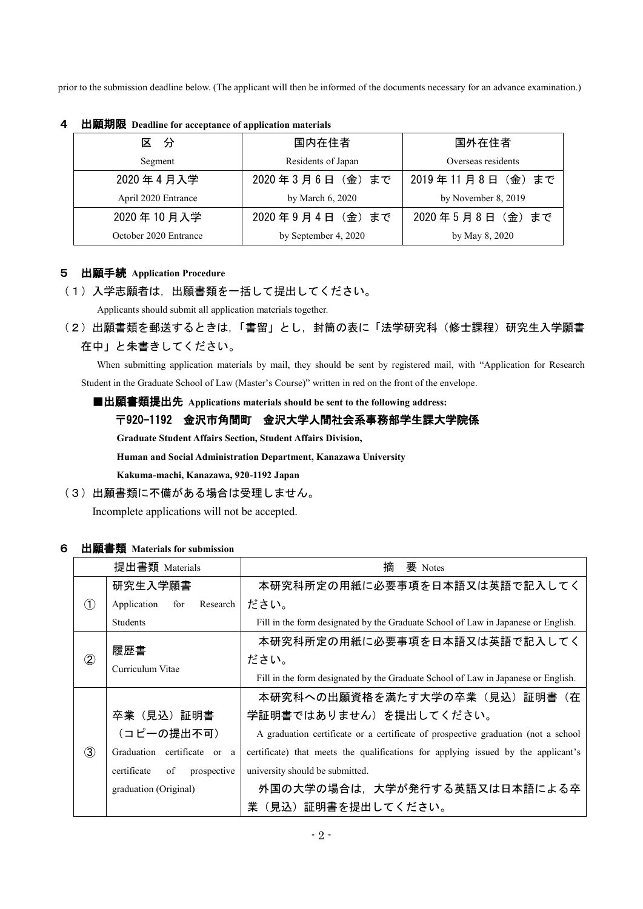prior to the submission deadline below. (The applicant will then be informed of the documents necessary for an advance examination.)

| 区 分                   | 国内在住者                | 国外在住者               |
|-----------------------|----------------------|---------------------|
| Segment               | Residents of Japan   | Overseas residents  |
| 2020年4月入学             | 2020年3月6日 (金) まで     | 2019年11月8日 (金)まで    |
| April 2020 Entrance   | by March 6, 2020     | by November 8, 2019 |
| 2020年10月入学            | 2020年9月4日 (金) まで     | 2020年5月8日 (金) まで    |
| October 2020 Entrance | by September 4, 2020 | by May 8, 2020      |

4 出願期限 **Deadline for acceptance of application materials**

## 5 出願手続 **Application Procedure**

## (1)入学志願者は,出願書類を一括して提出してください。

Applicants should submit all application materials together.

(2)出願書類を郵送するときは,「書留」とし,封筒の表に「法学研究科(修士課程)研究生入学願書 在中」と朱書きしてください。

When submitting application materials by mail, they should be sent by registered mail, with "Application for Research Student in the Graduate School of Law (Master's Course)" written in red on the front of the envelope.

■出願書類提出先 **Applications materials should be sent to the following address:**

## 〒920-1192 金沢市角間町 金沢大学人間社会系事務部学生課大学院係

**Graduate Student Affairs Section, Student Affairs Division,**

**Human and Social Administration Department, Kanazawa University**

**Kakuma-machi, Kanazawa, 920-1192 Japan**

## (3)出願書類に不備がある場合は受理しません。

Incomplete applications will not be accepted.

#### 6 出願書類 **Materials for submission**

|               | 提出書類 Materials                   | 摘<br>要 Notes                                                                      |
|---------------|----------------------------------|-----------------------------------------------------------------------------------|
|               | 研究生入学願書                          | 本研究科所定の用紙に必要事項を日本語又は英語で記入してく                                                      |
| (1)           | Research<br>Application<br>for   | ださい。                                                                              |
|               | Students                         | Fill in the form designated by the Graduate School of Law in Japanese or English. |
|               |                                  | 本研究科所定の用紙に必要事項を日本語又は英語で記入してく                                                      |
| $\circled{2}$ | 履歴書<br>Curriculum Vitae          | ださい。                                                                              |
|               |                                  | Fill in the form designated by the Graduate School of Law in Japanese or English. |
|               |                                  | 本研究科への出願資格を満たす大学の卒業(見込)証明書<br>(在                                                  |
| $\circled{3}$ | 卒業(見込)証明書                        | 学証明書ではありません)を提出してください。                                                            |
|               | (コピーの提出不可)                       | A graduation certificate or a certificate of prospective graduation (not a school |
|               | Graduation certificate or<br>a   | certificate) that meets the qualifications for applying issued by the applicant's |
|               | certificate<br>of<br>prospective | university should be submitted.                                                   |
|               | graduation (Original)            | 外国の大学の場合は、大学が発行する英語又は日本語による卒                                                      |
|               |                                  | 業(見込)証明書を提出してください。                                                                |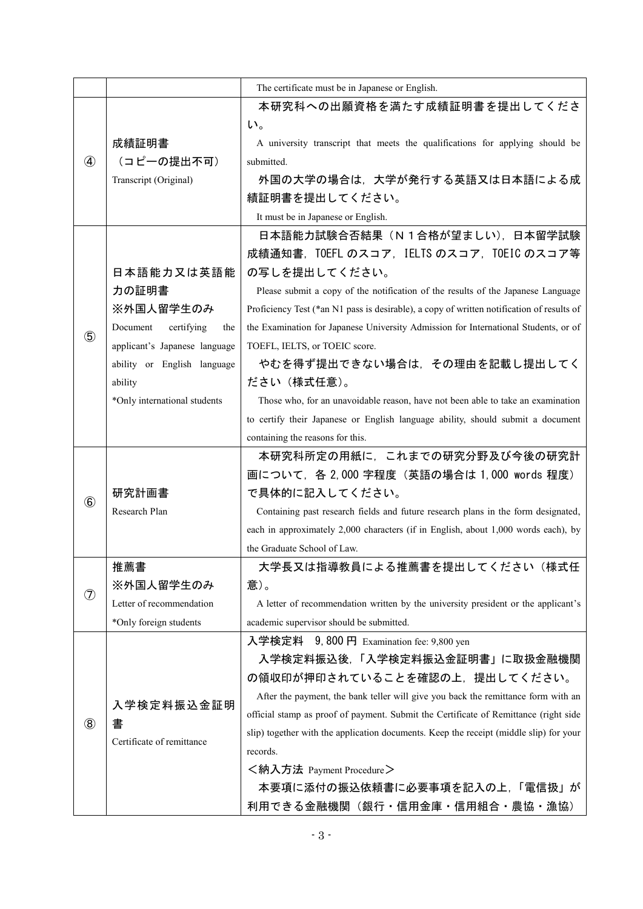|                                                |                               | The certificate must be in Japanese or English.                                           |  |
|------------------------------------------------|-------------------------------|-------------------------------------------------------------------------------------------|--|
|                                                |                               | 本研究科への出願資格を満たす成績証明書を提出してくださ                                                               |  |
|                                                |                               | $\mathsf{L}_{\lambda}$                                                                    |  |
|                                                | 成績証明書                         | A university transcript that meets the qualifications for applying should be              |  |
| $\circled{4}$                                  | (コピーの提出不可)                    | submitted.                                                                                |  |
|                                                | Transcript (Original)         | 外国の大学の場合は、大学が発行する英語又は日本語による成                                                              |  |
|                                                |                               | 績証明書を提出してください。                                                                            |  |
|                                                |                               | It must be in Japanese or English.                                                        |  |
|                                                |                               | 日本語能力試験合否結果 (N1合格が望ましい). 日本留学試験                                                           |  |
|                                                |                               | 成績通知書, TOEFL のスコア, IELTS のスコア, TOEIC のスコア等                                                |  |
|                                                | 日本語能力又は英語能                    | の写しを提出してください。                                                                             |  |
|                                                | 力の証明書                         | Please submit a copy of the notification of the results of the Japanese Language          |  |
|                                                | ※外国人留学生のみ                     | Proficiency Test (*an N1 pass is desirable), a copy of written notification of results of |  |
|                                                | Document<br>certifying<br>the | the Examination for Japanese University Admission for International Students, or of       |  |
| $\circledS$                                    | applicant's Japanese language | TOEFL, IELTS, or TOEIC score.                                                             |  |
|                                                | ability or English language   | やむを得ず提出できない場合は、その理由を記載し提出してく                                                              |  |
|                                                | ability                       | ださい(様式任意)。                                                                                |  |
|                                                | *Only international students  | Those who, for an unavoidable reason, have not been able to take an examination           |  |
|                                                |                               | to certify their Japanese or English language ability, should submit a document           |  |
|                                                |                               | containing the reasons for this.                                                          |  |
|                                                |                               | 本研究科所定の用紙に、これまでの研究分野及び今後の研究計                                                              |  |
|                                                |                               | 画について、各 2,000 字程度 (英語の場合は 1,000 words 程度)                                                 |  |
| $\circled6$                                    | 研究計画書                         | で具体的に記入してください。                                                                            |  |
|                                                | Research Plan                 | Containing past research fields and future research plans in the form designated,         |  |
|                                                |                               | each in approximately 2,000 characters (if in English, about 1,000 words each), by        |  |
|                                                |                               | the Graduate School of Law.                                                               |  |
|                                                | 推薦書                           | 大学長又は指導教員による推薦書を提出してください(様式任                                                              |  |
| $\left( \widehat{\mathbf{\mathcal{J}}}\right)$ | ※外国人留学生のみ                     | 意)。                                                                                       |  |
|                                                | Letter of recommendation      | A letter of recommendation written by the university president or the applicant's         |  |
|                                                | *Only foreign students        | academic supervisor should be submitted.                                                  |  |
|                                                |                               | 入学検定料 9,800 円 Examination fee: 9,800 yen                                                  |  |
|                                                |                               | 入学検定料振込後,「入学検定料振込金証明書」に取扱金融機関                                                             |  |
|                                                |                               | の領収印が押印されていることを確認の上、提出してください。                                                             |  |
|                                                | 入学検定料振込金証明                    | After the payment, the bank teller will give you back the remittance form with an         |  |
| $\circledR$                                    | 書                             | official stamp as proof of payment. Submit the Certificate of Remittance (right side      |  |
|                                                | Certificate of remittance     | slip) together with the application documents. Keep the receipt (middle slip) for your    |  |
|                                                |                               | records.                                                                                  |  |
|                                                |                               | <納入方法 Payment Procedure>                                                                  |  |
|                                                |                               | 本要項に添付の振込依頼書に必要事項を記入の上,「電信扱」が                                                             |  |
|                                                |                               | 利用できる金融機関(銀行・信用金庫・信用組合・農協・漁協)                                                             |  |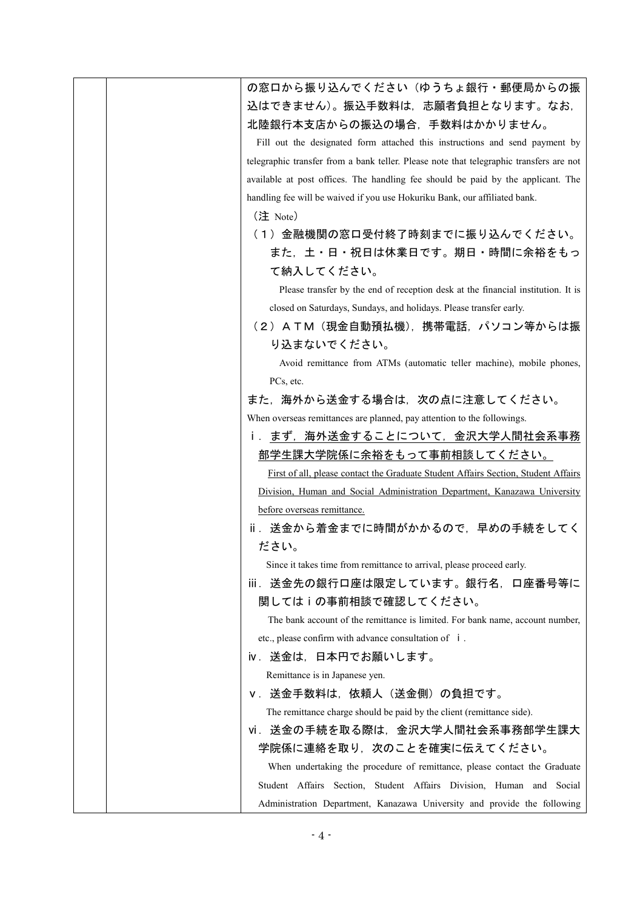|  | の窓口から振り込んでください(ゆうちょ銀行・郵便局からの振                                                           |
|--|-----------------------------------------------------------------------------------------|
|  | 込はできません)。振込手数料は,志願者負担となります。なお,                                                          |
|  | 北陸銀行本支店からの振込の場合,手数料はかかりません。                                                             |
|  | Fill out the designated form attached this instructions and send payment by             |
|  | telegraphic transfer from a bank teller. Please note that telegraphic transfers are not |
|  | available at post offices. The handling fee should be paid by the applicant. The        |
|  | handling fee will be waived if you use Hokuriku Bank, our affiliated bank.              |
|  | (注 Note)                                                                                |
|  | (1) 金融機関の窓口受付終了時刻までに振り込んでください。                                                          |
|  | また、土・日・祝日は休業日です。期日・時間に余裕をもっ                                                             |
|  | て納入してください。                                                                              |
|  | Please transfer by the end of reception desk at the financial institution. It is        |
|  | closed on Saturdays, Sundays, and holidays. Please transfer early.                      |
|  | (2) ATM (現金自動預払機), 携帯電話, パソコン等からは振                                                      |
|  | り込まないでください。                                                                             |
|  | Avoid remittance from ATMs (automatic teller machine), mobile phones,                   |
|  | PCs, etc.                                                                               |
|  | また、海外から送金する場合は、次の点に注意してください。                                                            |
|  | When overseas remittances are planned, pay attention to the followings.                 |
|  | i. <u>まず,海外送金することについて,金沢大学人間社会系事務</u>                                                   |
|  | <u>部学生課大学院係に余裕をもって事前相談してください。</u>                                                       |
|  | First of all, please contact the Graduate Student Affairs Section, Student Affairs      |
|  | Division, Human and Social Administration Department, Kanazawa University               |
|  | before overseas remittance.                                                             |
|  | ii. 送金から着金までに時間がかかるので,早めの手続をしてく                                                         |
|  | ださい。                                                                                    |
|  | Since it takes time from remittance to arrival, please proceed early.                   |
|  | 送金先の銀行口座は限定しています。銀行名,口座番号等に                                                             |
|  | iii                                                                                     |
|  | 関してはiの事前相談で確認してください。                                                                    |
|  | The bank account of the remittance is limited. For bank name, account number,           |
|  | etc., please confirm with advance consultation of i.                                    |
|  | iv. 送金は, 日本円でお願いします。                                                                    |
|  | Remittance is in Japanese yen.                                                          |
|  | Ⅴ.送金手数料は,依頼人(送金側)の負担です。                                                                 |
|  | The remittance charge should be paid by the client (remittance side).                   |
|  | vi. 送金の手続を取る際は,金沢大学人間社会系事務部学生課大                                                         |
|  | 学院係に連絡を取り,次のことを確実に伝えてください。                                                              |
|  | When undertaking the procedure of remittance, please contact the Graduate               |
|  | Student Affairs Section, Student Affairs Division, Human and Social                     |
|  | Administration Department, Kanazawa University and provide the following                |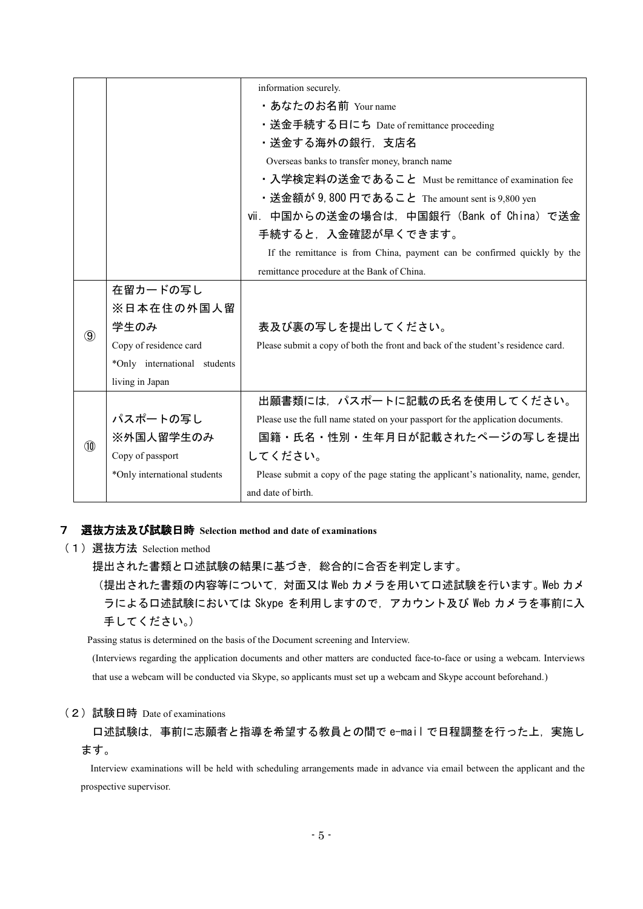|                   |                              | information securely.                                                               |  |
|-------------------|------------------------------|-------------------------------------------------------------------------------------|--|
|                   |                              | ・あなたのお名前 Yourname                                                                   |  |
|                   |                              | ・送金手続する日にち Date of remittance proceeding                                            |  |
|                   |                              | ・送金する海外の銀行,支店名                                                                      |  |
|                   |                              | Overseas banks to transfer money, branch name                                       |  |
|                   |                              | ・入学検定料の送金であること Must be remittance of examination fee                                |  |
|                   |                              | ・送金額が 9,800 円であること The amount sent is 9,800 yen                                     |  |
|                   |                              | vii. 中国からの送金の場合は、中国銀行 (Bank of China) で送金                                           |  |
|                   |                              | 手続すると、入金確認が早くできます。                                                                  |  |
|                   |                              | If the remittance is from China, payment can be confirmed quickly by the            |  |
|                   |                              | remittance procedure at the Bank of China.                                          |  |
|                   | 在留カードの写し                     |                                                                                     |  |
|                   | ※日本在住の外国人留                   |                                                                                     |  |
| $\left( 9\right)$ | 学生のみ                         | 表及び裏の写しを提出してください。                                                                   |  |
|                   | Copy of residence card       | Please submit a copy of both the front and back of the student's residence card.    |  |
|                   | *Only international students |                                                                                     |  |
|                   | living in Japan              |                                                                                     |  |
|                   |                              | 出願書類には、パスポートに記載の氏名を使用してください。                                                        |  |
|                   | パスポートの写し                     | Please use the full name stated on your passport for the application documents.     |  |
| (10)              | ※外国人留学生のみ                    | 国籍・氏名・性別・生年月日が記載されたページの写しを提出                                                        |  |
|                   | Copy of passport             | してください。                                                                             |  |
|                   | *Only international students | Please submit a copy of the page stating the applicant's nationality, name, gender, |  |
|                   |                              | and date of birth.                                                                  |  |

## 7 選抜方法及び試験日時 **Selection method and date of examinations**

(1)選抜方法 Selection method

提出された書類と口述試験の結果に基づき,総合的に合否を判定します。

(提出された書類の内容等について,対面又は Web カメラを用いて口述試験を行います。Web カメ ラによる口述試験においては Skype を利用しますので,アカウント及び Web カメラを事前に入 手してください。)

Passing status is determined on the basis of the Document screening and Interview.

(Interviews regarding the application documents and other matters are conducted face-to-face or using a webcam. Interviews that use a webcam will be conducted via Skype, so applicants must set up a webcam and Skype account beforehand.)

## (2)試験日時 Date of examinations

ロ述試験は、事前に志願者と指導を希望する教員との間で e-mail で日程調整を行った上,実施し ます。

Interview examinations will be held with scheduling arrangements made in advance via email between the applicant and the prospective supervisor.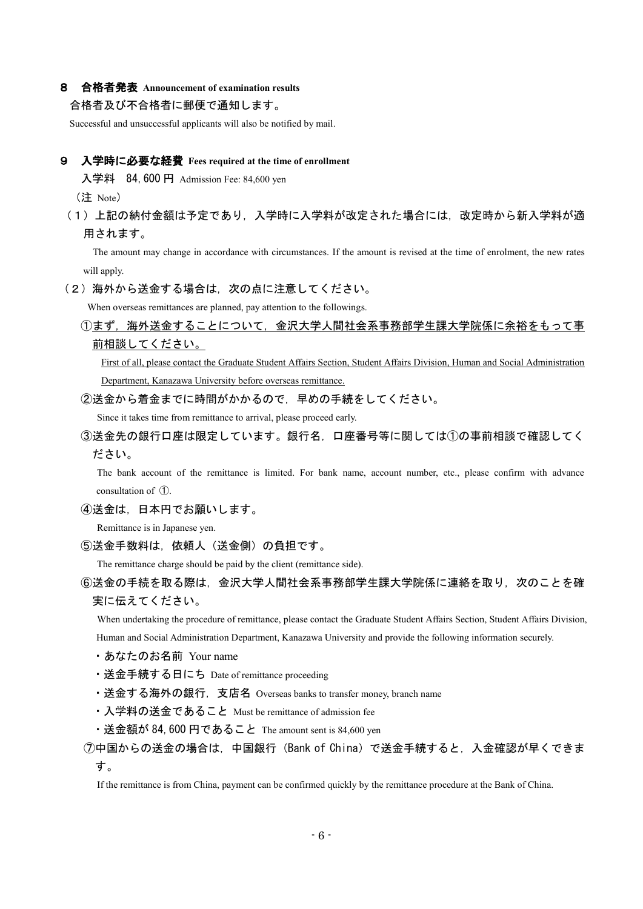#### 8 合格者発表 **Announcement of examination results**

### 合格者及び不合格者に郵便で通知します。

Successful and unsuccessful applicants will also be notified by mail.

#### 9 入学時に必要な経費 **Fees required at the time of enrollment**

入学料 84,600 円 Admission Fee: 84,600 yen

(注 Note)

## (1)上記の納付金額は予定であり,入学時に入学料が改定された場合には,改定時から新入学料が適 用されます。

The amount may change in accordance with circumstances. If the amount is revised at the time of enrolment, the new rates will apply.

(2)海外から送金する場合は,次の点に注意してください。

When overseas remittances are planned, pay attention to the followings.

## ①まず,海外送金することについて,金沢大学人間社会系事務部学生課大学院係に余裕をもって事 前相談してください。

First of all, please contact the Graduate Student Affairs Section, Student Affairs Division, Human and Social Administration Department, Kanazawa University before overseas remittance.

②送金から着金までに時間がかかるので,早めの手続をしてください。

Since it takes time from remittance to arrival, please proceed early.

③送金先の銀行口座は限定しています。銀行名,口座番号等に関しては①の事前相談で確認してく ださい。

The bank account of the remittance is limited. For bank name, account number, etc., please confirm with advance consultation of ①.

④送金は,日本円でお願いします。

Remittance is in Japanese yen.

⑤送金手数料は,依頼人(送金側)の負担です。

The remittance charge should be paid by the client (remittance side).

## ⑥送金の手続を取る際は,金沢大学人間社会系事務部学生課大学院係に連絡を取り,次のことを確 実に伝えてください。

When undertaking the procedure of remittance, please contact the Graduate Student Affairs Section, Student Affairs Division,

Human and Social Administration Department, Kanazawa University and provide the following information securely.

- ・あなたのお名前 Your name
- ・送金手続する日にち Date of remittance proceeding
- ・送金する海外の銀行,支店名 Overseas banks to transfer money, branch name
- ・入学料の送金であること Must be remittance of admission fee
- ・送金額が 84,600 円であること The amount sent is 84,600 yen

⑦中国からの送金の場合は,中国銀行(Bank of China)で送金手続すると,入金確認が早くできま

す。

If the remittance is from China, payment can be confirmed quickly by the remittance procedure at the Bank of China.